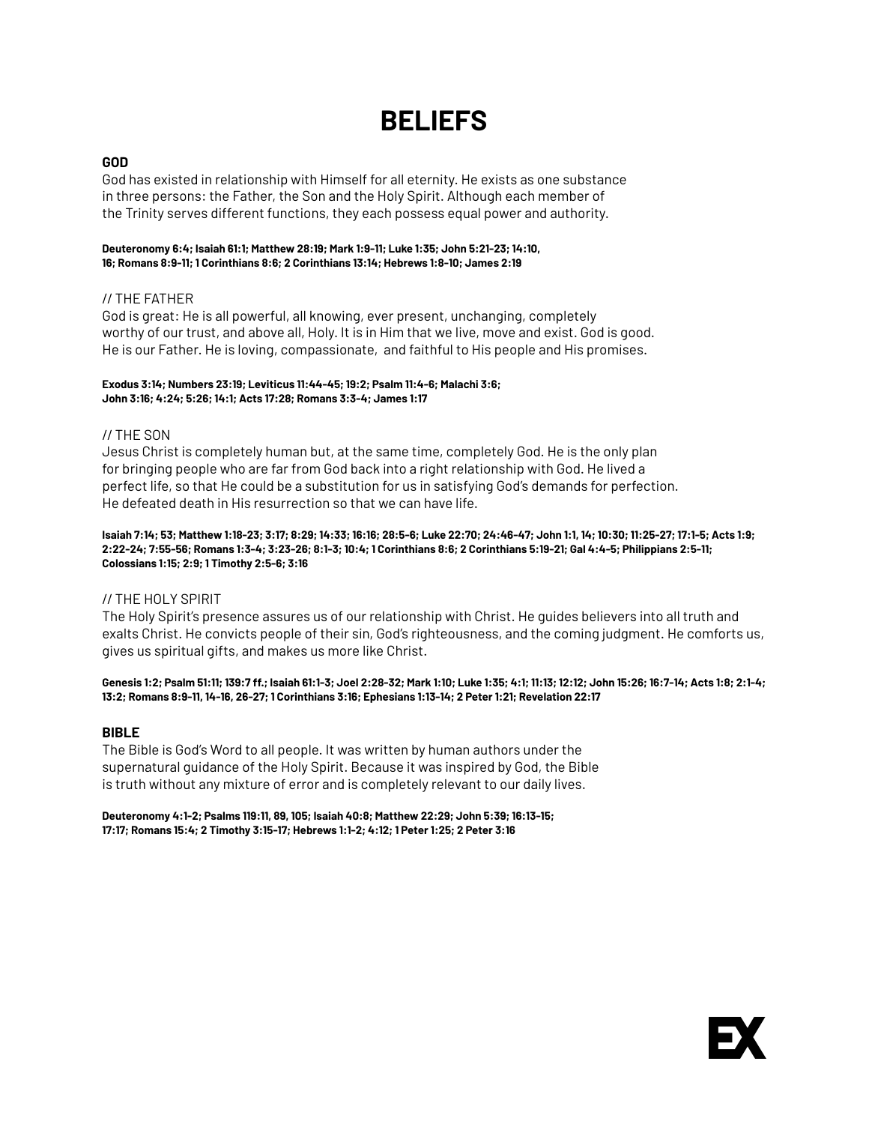# **BELIEFS**

## **GOD**

God has existed in relationship with Himself for all eternity. He exists as one substance in three persons: the Father, the Son and the Holy Spirit. Although each member of the Trinity serves different functions, they each possess equal power and authority.

#### **[Deuteronomy 6:4;](http://bible.us/111/deu.6.4.niv) [Isaiah 61:1;](http://bible.us/111/isa.61.1.niv) [Matthew 28:19](http://bible.us/111/mat.28.19.niv); [Mark 1:9-11;](http://bible.us/111/mrk.1.9-11.niv) [Luke 1:35;](http://bible.us/111/luk.1.35.niv) [John 5:21-23;](http://bible.us/111/jhn.5.21-23.niv) [14:10,](http://bible.us/111/jhn.14.10.niv) [16](http://bible.us/111/jhn.14.16.niv); [Romans 8:9-11;](http://bible.us/111/jhn.14.16.niv) [1 Corinthians 8:6](http://bible.us/111/1co.8.6.niv); [2 Corinthians 13:14](http://bible.us/111/1co.8.6.niv); [Hebrews 1:8-10;](http://bible.us/111/heb.1.8-10.niv) [James 2:19](http://bible.us/111/jas.2.19.niv)**

# // THE FATHER

God is great: He is all powerful, all knowing, ever present, unchanging, completely worthy of our trust, and above all, Holy. It is in Him that we live, move and exist. God is good. He is our Father. He is loving, compassionate, and faithful to His people and His promises.

#### **[Exodus 3:14](http://bible.us/111/exo.3.14.niv); [Numbers 23:19;](http://bible.us/111/num.23.19.niv) [Leviticus 11:44-45;](http://bible.us/111/lev.11.44-45.niv) [19:2](http://bible.us/111/lev.19.2.niv); [Psalm 11:4-6](http://bible.us/111/psa.11.4-6.niv); [Malachi 3:6](http://bible.us/111/mal.3.6.niv); [John 3:16;](http://bible.us/111/jhn.3.16.niv) [4:24;](http://bible.us/111/jhn.4.24.niv) [5:26](http://bible.us/111/jhn.5.26.niv); [14:1](http://bible.us/111/jhn.14.1.niv); [Acts 17:28](http://bible.us/111/act.17.28.niv); [Romans 3:3-4](http://bible.us/111/rom.3.3-4.niv); James 1:17**

### // THE SON

Jesus Christ is completely human but, at the same time, completely God. He is the only plan for bringing people who are far from God back into a right relationship with God. He lived a perfect life, so that He could be a substitution for us in satisfying God's demands for perfection. He defeated death in His resurrection so that we can have life.

[Isaiah 7:14](http://bible.us/111/isa.7.14.niv); [53;](https://www.bible.com/bible/111/isa.53) [Matthew 1:18-23;](http://bible.us/111/mat.1.18-23.niv) [3:17;](http://bible.us/111/mat.3.17.niv) [8:29](http://bible.us/111/mat.8.29.niv); [14:33](http://bible.us/111/mat.14.33.niv); [16:16](http://bible.us/111/mat.16.16.niv); [28:5-6](http://bible.us/111/mat.28.5-6.niv); [Luke 22:70](http://bible.us/111/luk.22.70.niv); [24:46-47;](http://bible.us/111/luk.24.46-47.niv) [John 1:1,](http://bible.us/111/jhn.1.1.niv) [14](http://bible.us/111/jhn.1.14.niv); [10:30](http://bible.us/111/jhn.10.30.niv); [11:25-27](http://bible.us/111/jhn.11.25-27.niv); [17:1-5](http://bible.us/111/jhn.17.1-5.niv); [Acts 1:9;](http://bible.us/111/act.1.9.niv) [2:22-24;](http://bible.us/111/act.2.22-24.niv) [7:55-56](http://bible.us/111/act.7.55-56.niv); [Romans 1:3-4;](http://bible.us/111/rom.1.3-4.niv) [3:23-26;](http://bible.us/111/rom.3.23-26.niv) [8:1-3;](http://bible.us/111/rom.8.1-3.niv) [10:4;](http://bible.us/111/rom.10.4.niv) [1 Corinthians 8:6](http://bible.us/111/1co.8.6.niv); [2 Corinthians 5:19-21;](http://bible.us/111/2co.5.19-21.niv) [Gal 4:4-5;](http://bible.us/111/gal.4.4-5.niv) [Philippians 2:5-11;](http://bible.us/111/php.2.5-11.niv) **[Colossians 1:15;](http://bible.us/111/col.1.15.niv) [2:9](http://bible.us/111/col.2.9.niv); [1 Timothy 2:5-6;](http://bible.us/111/1ti.2.5-6.niv) [3:16](http://bible.us/111/1ti.3.16.niv)** 

### // THE HOLY SPIRIT

The Holy Spirit's presence assures us of our relationship with Christ. He guides believers into all truth and exalts Christ. He convicts people of their sin, God's righteousness, and the coming judgment. He comforts us, gives us spiritual gifts, and makes us more like Christ.

Genesis 1:2: [Psalm 51:11](http://bible.us/111/psa.51.11.niv): [139:7 ff.](http://bible.us/111/psa.139.7.niv): [Isaiah 61:1-3](http://bible.us/111/isa.61.1-3.niv): Joel 2:28-32: Mark 1:10: Luke 1:35: [4:1](http://bible.us/111/luk.4.1.niv): 11:13: [12:12](http://bible.us/111/luk.12.12.niv): John 15:26: [16:7-14](http://bible.us/111/jhn.16.7-14.niv): Acts 1:8: [2:1-4](http://bible.us/111/act.2.1-4.niv): **[13:2](http://bible.us/111/act.13.2.niv); [Romans 8:9-11](http://bible.us/111/rom.8.9-11.niv), [14-16,](http://bible.us/111/rom.8.14-16.niv) [26-27;](http://bible.us/111/rom.8.26-27.niv) [1 Corinthians 3:16](http://bible.us/111/1co.3.16.niv); [Ephesians 1:13-14;](http://bible.us/111/eph.1.13-14.niv) [2 Peter 1:21;](http://bible.us/111/2pe.1.21.niv) [Revelation 22:17](http://bible.us/111/rev.22.17.niv)** 

### **BIBLE**

The Bible is God's Word to all people. It was written by human authors under the supernatural guidance of the Holy Spirit. Because it was inspired by God, the Bible is truth without any mixture of error and is completely relevant to our daily lives.

**[Deuteronomy 4:1-2;](http://bible.us/111/deu.4.1-2.niv) [Psalms 119:11](http://bible.us/111/psa.119.11.niv), [89,](http://bible.us/111/psa.119.89.niv) [105;](http://bible.us/111/psa.119.105.niv) [Isaiah 40:8](http://bible.us/111/isa.40.8.niv); [Matthew 22:29](http://bible.us/111/mat.22.29.niv); [John 5:39;](http://bible.us/111/jhn.5.39.niv) [16:13-15](http://bible.us/111/jhn.16.13-15.niv); [17:17](http://bible.us/111/jhn.17.17.niv); [Romans 15:4](http://bible.us/111/rom.15.4.niv); [2 Timothy 3:15-17](http://bible.us/111/2ti.3.15-17.niv); [Hebrews 1:1-2](http://bible.us/111/heb.1.1-2.niv); [4:12](http://bible.us/111/heb.4.12.niv); [1 Peter 1:25;](http://bible.us/111/1pe.1.25.niv) [2 Peter 3:16](http://bible.us/111/2pe.3.16.niv)**